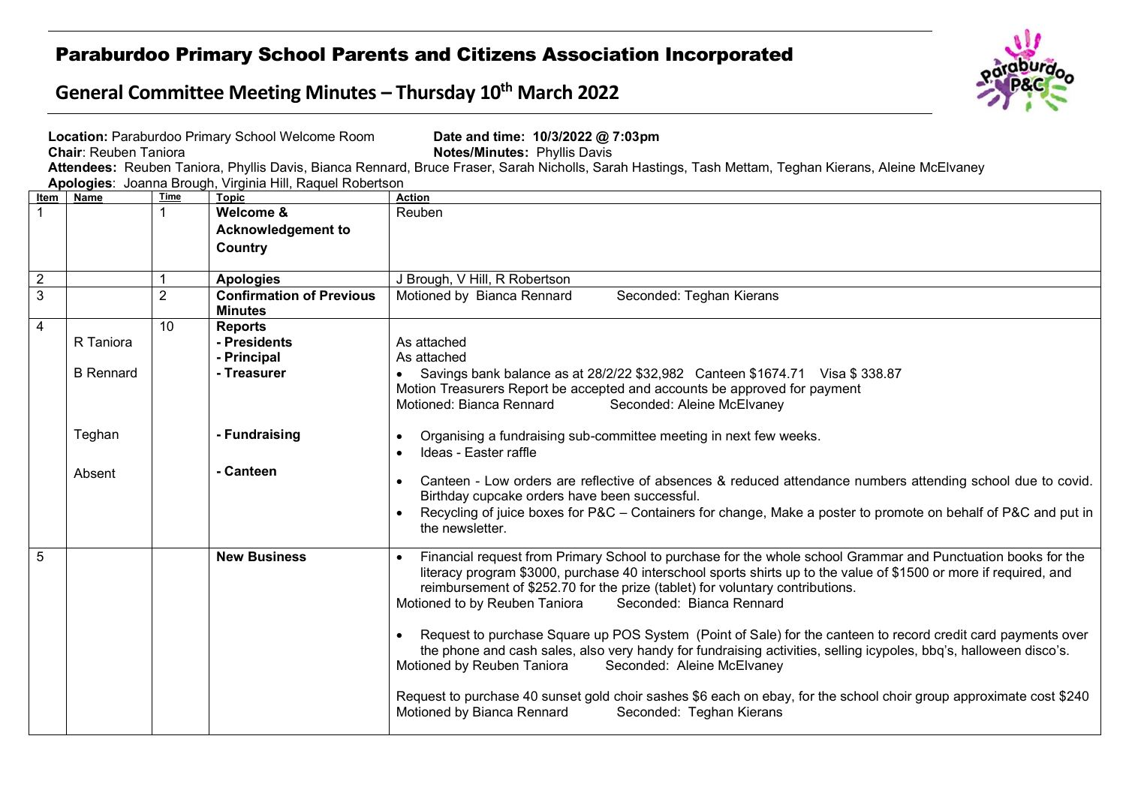## Paraburdoo Primary School Parents and Citizens Association Incorporated

## **General Committee Meeting Minutes – Thursday 10th March 2022**



|                | <b>Chair: Reuben Taniora</b>  |                 | Location: Paraburdoo Primary School Welcome Room<br>Apologies: Joanna Brough, Virginia Hill, Raquel Robertson | Date and time: 10/3/2022 @ 7:03pm<br>Notes/Minutes: Phyllis Davis<br>Attendees: Reuben Taniora, Phyllis Davis, Bianca Rennard, Bruce Fraser, Sarah Nicholls, Sarah Hastings, Tash Mettam, Teghan Kierans, Aleine McElvaney                                                                                                                                                                                                                                                                                                                                                                                                                                                                                                                                                                                                                                                     |
|----------------|-------------------------------|-----------------|---------------------------------------------------------------------------------------------------------------|--------------------------------------------------------------------------------------------------------------------------------------------------------------------------------------------------------------------------------------------------------------------------------------------------------------------------------------------------------------------------------------------------------------------------------------------------------------------------------------------------------------------------------------------------------------------------------------------------------------------------------------------------------------------------------------------------------------------------------------------------------------------------------------------------------------------------------------------------------------------------------|
| ltem           | <b>Name</b>                   | <b>Time</b>     | <b>Topic</b>                                                                                                  | <b>Action</b>                                                                                                                                                                                                                                                                                                                                                                                                                                                                                                                                                                                                                                                                                                                                                                                                                                                                  |
|                |                               |                 | Welcome &                                                                                                     | Reuben                                                                                                                                                                                                                                                                                                                                                                                                                                                                                                                                                                                                                                                                                                                                                                                                                                                                         |
|                |                               |                 | <b>Acknowledgement to</b>                                                                                     |                                                                                                                                                                                                                                                                                                                                                                                                                                                                                                                                                                                                                                                                                                                                                                                                                                                                                |
|                |                               |                 | Country                                                                                                       |                                                                                                                                                                                                                                                                                                                                                                                                                                                                                                                                                                                                                                                                                                                                                                                                                                                                                |
| $\overline{2}$ |                               |                 | <b>Apologies</b>                                                                                              | J Brough, V Hill, R Robertson                                                                                                                                                                                                                                                                                                                                                                                                                                                                                                                                                                                                                                                                                                                                                                                                                                                  |
| 3              |                               | $\overline{2}$  | <b>Confirmation of Previous</b><br><b>Minutes</b>                                                             | Motioned by Bianca Rennard<br>Seconded: Teghan Kierans                                                                                                                                                                                                                                                                                                                                                                                                                                                                                                                                                                                                                                                                                                                                                                                                                         |
| $\overline{4}$ | R Taniora<br><b>B</b> Rennard | 10 <sup>°</sup> | <b>Reports</b><br>- Presidents<br>- Principal<br>- Treasurer                                                  | As attached<br>As attached<br>Savings bank balance as at 28/2/22 \$32,982 Canteen \$1674.71 Visa \$338.87<br>$\bullet$<br>Motion Treasurers Report be accepted and accounts be approved for payment<br>Motioned: Bianca Rennard<br>Seconded: Aleine McElvaney                                                                                                                                                                                                                                                                                                                                                                                                                                                                                                                                                                                                                  |
|                | Teghan                        |                 | - Fundraising                                                                                                 | Organising a fundraising sub-committee meeting in next few weeks.<br>$\bullet$<br>Ideas - Easter raffle<br>$\bullet$                                                                                                                                                                                                                                                                                                                                                                                                                                                                                                                                                                                                                                                                                                                                                           |
|                | Absent                        |                 | - Canteen                                                                                                     | Canteen - Low orders are reflective of absences & reduced attendance numbers attending school due to covid.<br>Birthday cupcake orders have been successful.<br>Recycling of juice boxes for P&C – Containers for change, Make a poster to promote on behalf of P&C and put in<br>the newsletter.                                                                                                                                                                                                                                                                                                                                                                                                                                                                                                                                                                              |
| 5              |                               |                 | <b>New Business</b>                                                                                           | Financial request from Primary School to purchase for the whole school Grammar and Punctuation books for the<br>literacy program \$3000, purchase 40 interschool sports shirts up to the value of \$1500 or more if required, and<br>reimbursement of \$252.70 for the prize (tablet) for voluntary contributions.<br>Motioned to by Reuben Taniora<br>Seconded: Bianca Rennard<br>Request to purchase Square up POS System (Point of Sale) for the canteen to record credit card payments over<br>$\bullet$<br>the phone and cash sales, also very handy for fundraising activities, selling icypoles, bbq's, halloween disco's.<br>Motioned by Reuben Taniora<br>Seconded: Aleine McElvaney<br>Request to purchase 40 sunset gold choir sashes \$6 each on ebay, for the school choir group approximate cost \$240<br>Motioned by Bianca Rennard<br>Seconded: Teghan Kierans |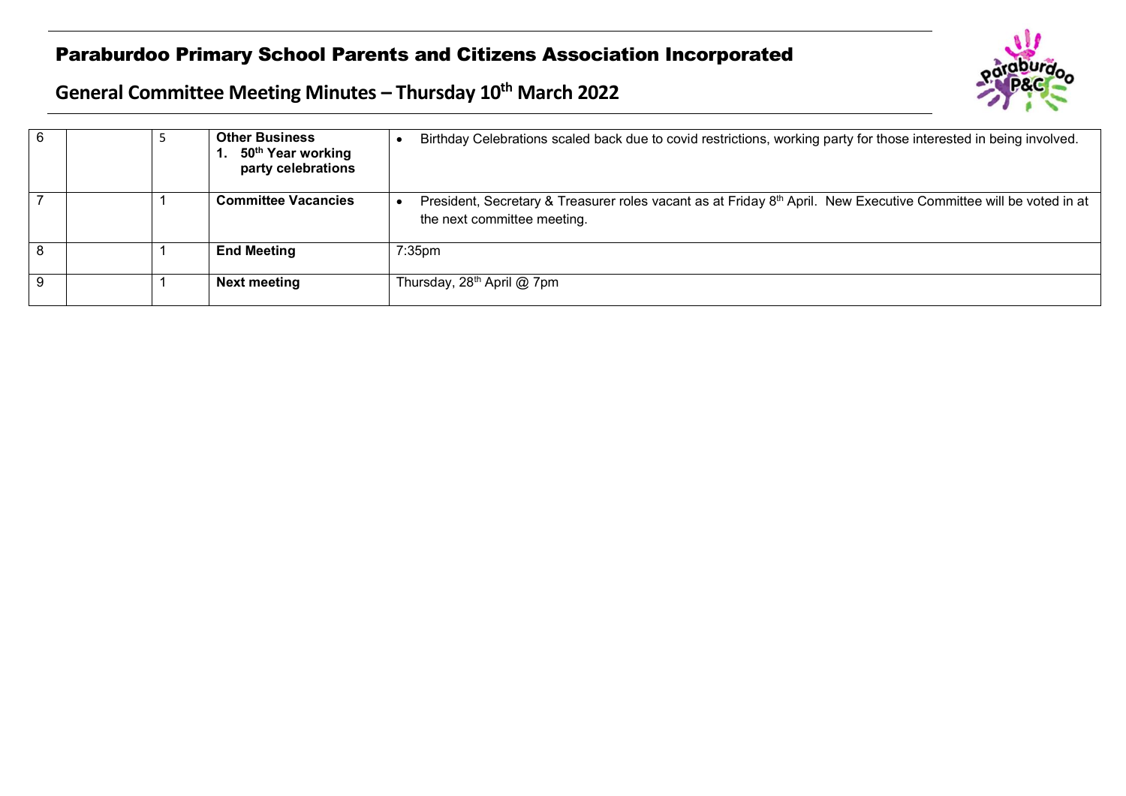## Paraburdoo Primary School Parents and Citizens Association Incorporated



## **General Committee Meeting Minutes – Thursday 10th March 2022**

|  | <b>Other Business</b><br>50 <sup>th</sup> Year working<br>party celebrations | Birthday Celebrations scaled back due to covid restrictions, working party for those interested in being involved.                               |
|--|------------------------------------------------------------------------------|--------------------------------------------------------------------------------------------------------------------------------------------------|
|  | <b>Committee Vacancies</b>                                                   | President, Secretary & Treasurer roles vacant as at Friday 8th April. New Executive Committee will be voted in at<br>the next committee meeting. |
|  | <b>End Meeting</b>                                                           | $7:35$ pm                                                                                                                                        |
|  | Next meeting                                                                 | Thursday, 28 <sup>th</sup> April @ 7pm                                                                                                           |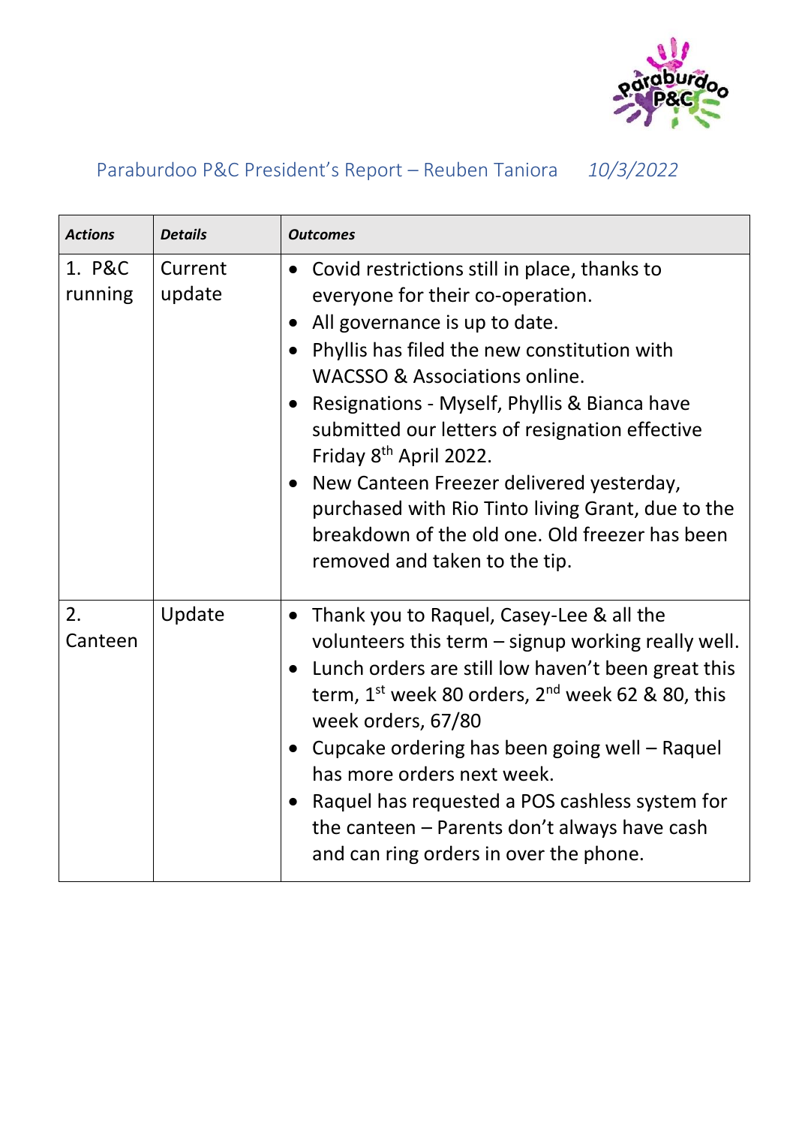

## Paraburdoo P&C President's Report – Reuben Taniora *10/3/2022*

| <b>Actions</b>    | <b>Details</b>    | <b>Outcomes</b>                                                                                                                                                                                                                                                                                                                                                                                                                                                                                                                                |
|-------------------|-------------------|------------------------------------------------------------------------------------------------------------------------------------------------------------------------------------------------------------------------------------------------------------------------------------------------------------------------------------------------------------------------------------------------------------------------------------------------------------------------------------------------------------------------------------------------|
| 1. P&C<br>running | Current<br>update | • Covid restrictions still in place, thanks to<br>everyone for their co-operation.<br>All governance is up to date.<br>$\bullet$<br>Phyllis has filed the new constitution with<br>WACSSO & Associations online.<br>Resignations - Myself, Phyllis & Bianca have<br>submitted our letters of resignation effective<br>Friday 8 <sup>th</sup> April 2022.<br>• New Canteen Freezer delivered yesterday,<br>purchased with Rio Tinto living Grant, due to the<br>breakdown of the old one. Old freezer has been<br>removed and taken to the tip. |
| 2.<br>Canteen     | Update            | Thank you to Raquel, Casey-Lee & all the<br>$\bullet$<br>volunteers this term - signup working really well.<br>Lunch orders are still low haven't been great this<br>term, $1^{st}$ week 80 orders, $2^{nd}$ week 62 & 80, this<br>week orders, 67/80<br>Cupcake ordering has been going well – Raquel<br>$\bullet$<br>has more orders next week.<br>Raquel has requested a POS cashless system for<br>the canteen - Parents don't always have cash<br>and can ring orders in over the phone.                                                  |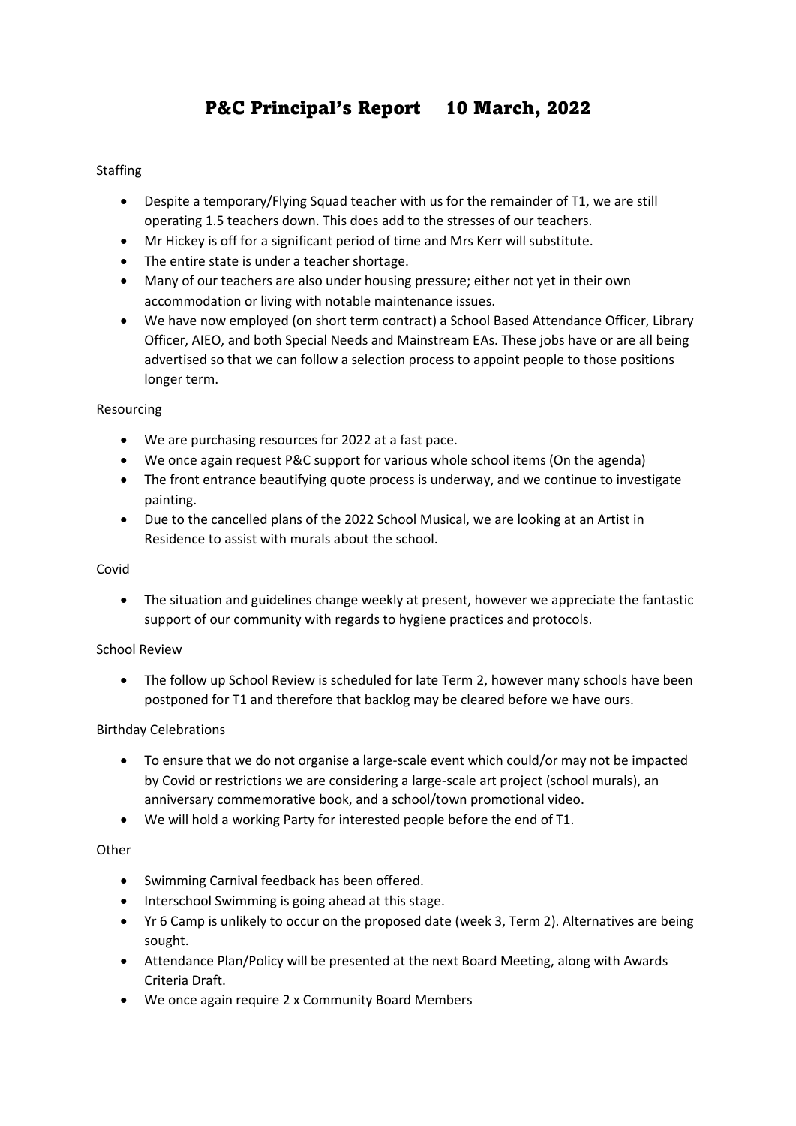## P&C Principal's Report 10 March, 2022

#### **Staffing**

- Despite a temporary/Flying Squad teacher with us for the remainder of T1, we are still operating 1.5 teachers down. This does add to the stresses of our teachers.
- Mr Hickey is off for a significant period of time and Mrs Kerr will substitute.
- The entire state is under a teacher shortage.
- Many of our teachers are also under housing pressure; either not yet in their own accommodation or living with notable maintenance issues.
- We have now employed (on short term contract) a School Based Attendance Officer, Library Officer, AIEO, and both Special Needs and Mainstream EAs. These jobs have or are all being advertised so that we can follow a selection process to appoint people to those positions longer term.

#### Resourcing

- We are purchasing resources for 2022 at a fast pace.
- We once again request P&C support for various whole school items (On the agenda)
- The front entrance beautifying quote process is underway, and we continue to investigate painting.
- Due to the cancelled plans of the 2022 School Musical, we are looking at an Artist in Residence to assist with murals about the school.

#### Covid

• The situation and guidelines change weekly at present, however we appreciate the fantastic support of our community with regards to hygiene practices and protocols.

#### School Review

• The follow up School Review is scheduled for late Term 2, however many schools have been postponed for T1 and therefore that backlog may be cleared before we have ours.

#### Birthday Celebrations

- To ensure that we do not organise a large-scale event which could/or may not be impacted by Covid or restrictions we are considering a large-scale art project (school murals), an anniversary commemorative book, and a school/town promotional video.
- We will hold a working Party for interested people before the end of T1.

#### **Other**

- Swimming Carnival feedback has been offered.
- Interschool Swimming is going ahead at this stage.
- Yr 6 Camp is unlikely to occur on the proposed date (week 3, Term 2). Alternatives are being sought.
- Attendance Plan/Policy will be presented at the next Board Meeting, along with Awards Criteria Draft.
- We once again require 2 x Community Board Members